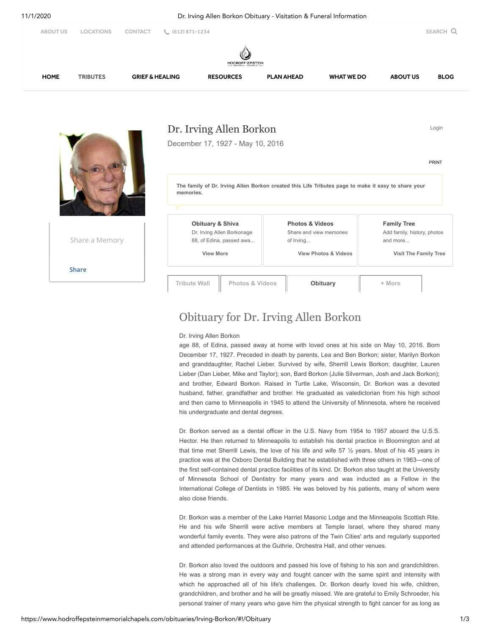

## Obituary for Dr. Irving Allen Borkon

Dr. Irving Allen Borkon

age 88, of Edina, passed away at home with loved ones at his side on May 10, 2016. Born December 17, 1927. Preceded in death by parents, Lea and Ben Borkon; sister, Marilyn Borkon and granddaughter, Rachel Lieber. Survived by wife, Sherrill Lewis Borkon; daughter, Lauren Lieber (Dan Lieber, Mike and Taylor); son, Bard Borkon (Julie Silverman, Josh and Jack Borkon); and brother, Edward Borkon. Raised in Turtle Lake, Wisconsin, Dr. Borkon was a devoted husband, father, grandfather and brother. He graduated as valedictorian from his high school and then came to Minneapolis in 1945 to attend the University of Minnesota, where he received his undergraduate and dental degrees.

Dr. Borkon served as a dental officer in the U.S. Navy from 1954 to 1957 aboard the U.S.S. Hector. He then returned to Minneapolis to establish his dental practice in Bloomington and at that time met Sherrill Lewis, the love of his life and wife 57 ½ years. Most of his 45 years in practice was at the Oxboro Dental Building that he established with three others in 1963—one of the first self-contained dental practice facilities of its kind. Dr. Borkon also taught at the University of Minnesota School of Dentistry for many years and was inducted as a Fellow in the International College of Dentists in 1985. He was beloved by his patients, many of whom were also close friends.

Dr. Borkon was a member of the Lake Harriet Masonic Lodge and the Minneapolis Scottish Rite. He and his wife Sherrill were active members at Temple Israel, where they shared many wonderful family events. They were also patrons of the Twin Cities' arts and regularly supported and attended performances at the Guthrie, Orchestra Hall, and other venues.

Dr. Borkon also loved the outdoors and passed his love of fishing to his son and grandchildren. He was a strong man in every way and fought cancer with the same spirit and intensity with which he approached all of his life's challenges. Dr. Borkon dearly loved his wife, children, grandchildren, and brother and he will be greatly missed. We are grateful to Emily Schroeder, his personal trainer of many years who gave him the physical strength to fight cancer for as long as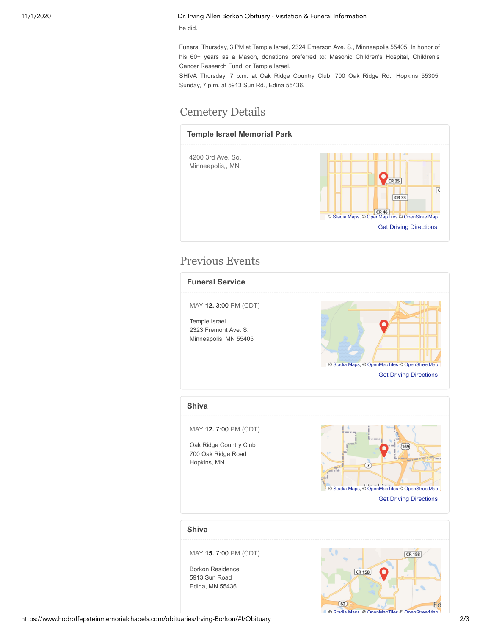## 11/1/2020 Dr. Irving Allen Borkon Obituary - Visitation & Funeral Information

he did.

Funeral Thursday, 3 PM at Temple Israel, 2324 Emerson Ave. S., Minneapolis 55405. In honor of his 60+ years as a Mason, donations preferred to: Masonic Children's Hospital, Children's Cancer Research Fund; or Temple Israel.

SHIVA Thursday, 7 p.m. at Oak Ridge Country Club, 700 Oak Ridge Rd., Hopkins 55305; Sunday, 7 p.m. at 5913 Sun Rd., Edina 55436.

## Cemetery Details



## Previous Events



MAY **15.** 7:00 PM (CDT)

Borkon Residence 5913 Sun Road Edina, MN 55436